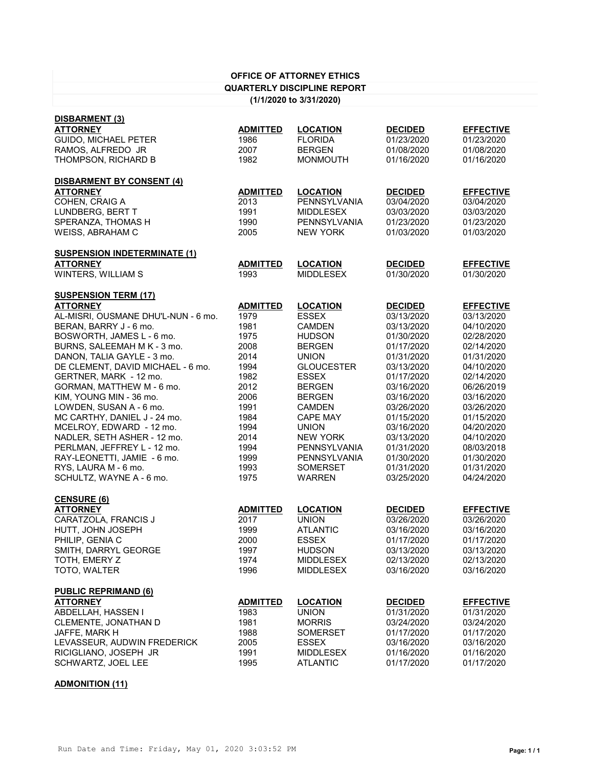| <b>OFFICE OF ATTORNEY ETHICS</b>    |                 |                     |                |                  |
|-------------------------------------|-----------------|---------------------|----------------|------------------|
| <b>QUARTERLY DISCIPLINE REPORT</b>  |                 |                     |                |                  |
| (1/1/2020 to 3/31/2020)             |                 |                     |                |                  |
| <b>DISBARMENT (3)</b>               |                 |                     |                |                  |
| <b>ATTORNEY</b>                     | <b>ADMITTED</b> | <b>LOCATION</b>     | <b>DECIDED</b> | <b>EFFECTIVE</b> |
| <b>GUIDO, MICHAEL PETER</b>         | 1986            | <b>FLORIDA</b>      | 01/23/2020     | 01/23/2020       |
| RAMOS, ALFREDO JR                   | 2007            | <b>BERGEN</b>       | 01/08/2020     | 01/08/2020       |
| THOMPSON, RICHARD B                 | 1982            | <b>MONMOUTH</b>     | 01/16/2020     | 01/16/2020       |
| <b>DISBARMENT BY CONSENT (4)</b>    |                 |                     |                |                  |
| <b>ATTORNEY</b>                     | <b>ADMITTED</b> | <b>LOCATION</b>     | <b>DECIDED</b> | <b>EFFECTIVE</b> |
| COHEN, CRAIG A                      | 2013            | PENNSYLVANIA        | 03/04/2020     | 03/04/2020       |
| LUNDBERG, BERT T                    | 1991            | <b>MIDDLESEX</b>    | 03/03/2020     | 03/03/2020       |
| SPERANZA, THOMAS H                  | 1990            | <b>PENNSYLVANIA</b> | 01/23/2020     | 01/23/2020       |
| WEISS, ABRAHAM C                    | 2005            | <b>NEW YORK</b>     | 01/03/2020     | 01/03/2020       |
| <b>SUSPENSION INDETERMINATE (1)</b> |                 |                     |                |                  |
| <b>ATTORNEY</b>                     | <b>ADMITTED</b> | <b>LOCATION</b>     | <b>DECIDED</b> | <b>EFFECTIVE</b> |
| WINTERS, WILLIAM S                  | 1993            | <b>MIDDLESEX</b>    | 01/30/2020     | 01/30/2020       |
| <b>SUSPENSION TERM (17)</b>         |                 |                     |                |                  |
| <b>ATTORNEY</b>                     | <b>ADMITTED</b> | <b>LOCATION</b>     | <b>DECIDED</b> | <b>EFFECTIVE</b> |
| AL-MISRI, OUSMANE DHU'L-NUN - 6 mo. | 1979            | <b>ESSEX</b>        | 03/13/2020     | 03/13/2020       |
| BERAN, BARRY J - 6 mo.              | 1981            | <b>CAMDEN</b>       | 03/13/2020     | 04/10/2020       |
| BOSWORTH, JAMES L - 6 mo.           | 1975            | <b>HUDSON</b>       | 01/30/2020     | 02/28/2020       |
| BURNS, SALEEMAH M K - 3 mo.         | 2008            | <b>BERGEN</b>       | 01/17/2020     | 02/14/2020       |
| DANON, TALIA GAYLE - 3 mo.          | 2014            | <b>UNION</b>        | 01/31/2020     | 01/31/2020       |
| DE CLEMENT, DAVID MICHAEL - 6 mo.   | 1994            | <b>GLOUCESTER</b>   | 03/13/2020     | 04/10/2020       |
| GERTNER, MARK - 12 mo.              | 1982            | <b>ESSEX</b>        | 01/17/2020     | 02/14/2020       |
| GORMAN, MATTHEW M - 6 mo.           | 2012            | <b>BERGEN</b>       | 03/16/2020     | 06/26/2019       |
| KIM, YOUNG MIN - 36 mo.             | 2006            | <b>BERGEN</b>       | 03/16/2020     | 03/16/2020       |
| LOWDEN, SUSAN A - 6 mo.             | 1991            | <b>CAMDEN</b>       | 03/26/2020     | 03/26/2020       |
| MC CARTHY, DANIEL J - 24 mo.        | 1984            | <b>CAPE MAY</b>     | 01/15/2020     | 01/15/2020       |
| MCELROY, EDWARD - 12 mo.            | 1994            | <b>UNION</b>        | 03/16/2020     | 04/20/2020       |
| NADLER, SETH ASHER - 12 mo.         | 2014            | <b>NEW YORK</b>     | 03/13/2020     | 04/10/2020       |
| PERLMAN, JEFFREY L - 12 mo.         | 1994            | <b>PENNSYLVANIA</b> | 01/31/2020     | 08/03/2018       |
| RAY-LEONETTI, JAMIE - 6 mo.         | 1999            | <b>PENNSYLVANIA</b> | 01/30/2020     | 01/30/2020       |
| RYS, LAURA M - 6 mo.                | 1993            | <b>SOMERSET</b>     | 01/31/2020     | 01/31/2020       |
| SCHULTZ, WAYNE A - 6 mo.            | 1975            | <b>WARREN</b>       | 03/25/2020     | 04/24/2020       |
| CENSURE (6)                         |                 |                     |                |                  |
| <b>ATTORNEY</b>                     | <b>ADMITTED</b> | <b>LOCATION</b>     | <b>DECIDED</b> | <b>EFFECTIVE</b> |
| CARATZOLA, FRANCIS J                | 2017            | <b>UNION</b>        | 03/26/2020     | 03/26/2020       |
| HUTT, JOHN JOSEPH                   | 1999            | <b>ATLANTIC</b>     | 03/16/2020     | 03/16/2020       |
| PHILIP, GENIA C                     | 2000            | <b>ESSEX</b>        | 01/17/2020     | 01/17/2020       |
| SMITH, DARRYL GEORGE                | 1997            | <b>HUDSON</b>       | 03/13/2020     | 03/13/2020       |
| TOTH, EMERY Z                       | 1974            | <b>MIDDLESEX</b>    | 02/13/2020     | 02/13/2020       |
| TOTO, WALTER                        | 1996            | <b>MIDDLESEX</b>    | 03/16/2020     | 03/16/2020       |
| <b>PUBLIC REPRIMAND (6)</b>         |                 |                     |                |                  |
| <b>ATTORNEY</b>                     | <b>ADMITTED</b> | <b>LOCATION</b>     | <b>DECIDED</b> | <b>EFFECTIVE</b> |
| ABDELLAH, HASSEN I                  | 1983            | <b>UNION</b>        | 01/31/2020     | 01/31/2020       |
| CLEMENTE, JONATHAN D                | 1981            | <b>MORRIS</b>       | 03/24/2020     | 03/24/2020       |
| JAFFE, MARK H                       | 1988            | <b>SOMERSET</b>     | 01/17/2020     | 01/17/2020       |
| LEVASSEUR, AUDWIN FREDERICK         | 2005            | <b>ESSEX</b>        | 03/16/2020     | 03/16/2020       |
| RICIGLIANO, JOSEPH JR               | 1991            | <b>MIDDLESEX</b>    | 01/16/2020     | 01/16/2020       |
| SCHWARTZ, JOEL LEE                  | 1995            | <b>ATLANTIC</b>     | 01/17/2020     | 01/17/2020       |

## **ADMONITION (11)**